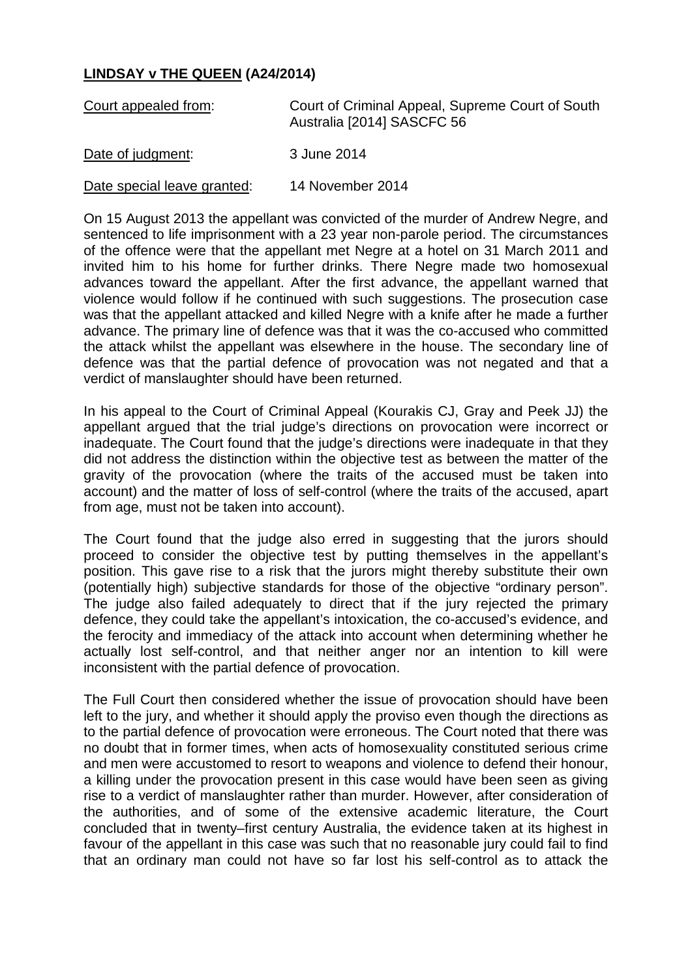## **LINDSAY v THE QUEEN (A24/2014)**

| Court appealed from:        | Court of Criminal Appeal, Supreme Court of South<br>Australia [2014] SASCFC 56 |
|-----------------------------|--------------------------------------------------------------------------------|
| Date of judgment:           | 3 June 2014                                                                    |
| Date special leave granted: | 14 November 2014                                                               |

On 15 August 2013 the appellant was convicted of the murder of Andrew Negre, and sentenced to life imprisonment with a 23 year non-parole period. The circumstances of the offence were that the appellant met Negre at a hotel on 31 March 2011 and invited him to his home for further drinks. There Negre made two homosexual advances toward the appellant. After the first advance, the appellant warned that violence would follow if he continued with such suggestions. The prosecution case was that the appellant attacked and killed Negre with a knife after he made a further advance. The primary line of defence was that it was the co-accused who committed the attack whilst the appellant was elsewhere in the house. The secondary line of defence was that the partial defence of provocation was not negated and that a verdict of manslaughter should have been returned.

In his appeal to the Court of Criminal Appeal (Kourakis CJ, Gray and Peek JJ) the appellant argued that the trial judge's directions on provocation were incorrect or inadequate. The Court found that the judge's directions were inadequate in that they did not address the distinction within the objective test as between the matter of the gravity of the provocation (where the traits of the accused must be taken into account) and the matter of loss of self-control (where the traits of the accused, apart from age, must not be taken into account).

The Court found that the judge also erred in suggesting that the jurors should proceed to consider the objective test by putting themselves in the appellant's position. This gave rise to a risk that the jurors might thereby substitute their own (potentially high) subjective standards for those of the objective "ordinary person". The judge also failed adequately to direct that if the jury rejected the primary defence, they could take the appellant's intoxication, the co-accused's evidence, and the ferocity and immediacy of the attack into account when determining whether he actually lost self-control, and that neither anger nor an intention to kill were inconsistent with the partial defence of provocation.

The Full Court then considered whether the issue of provocation should have been left to the jury, and whether it should apply the proviso even though the directions as to the partial defence of provocation were erroneous. The Court noted that there was no doubt that in former times, when acts of homosexuality constituted serious crime and men were accustomed to resort to weapons and violence to defend their honour, a killing under the provocation present in this case would have been seen as giving rise to a verdict of manslaughter rather than murder. However, after consideration of the authorities, and of some of the extensive academic literature, the Court concluded that in twenty–first century Australia, the evidence taken at its highest in favour of the appellant in this case was such that no reasonable jury could fail to find that an ordinary man could not have so far lost his self-control as to attack the